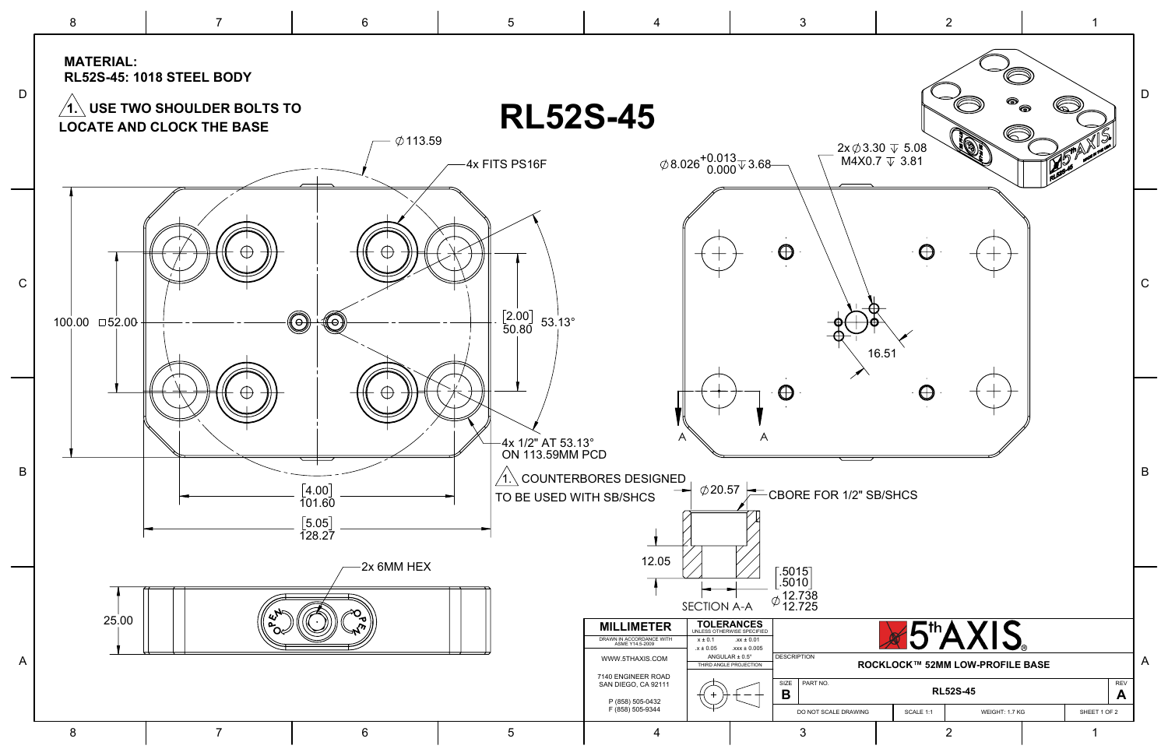